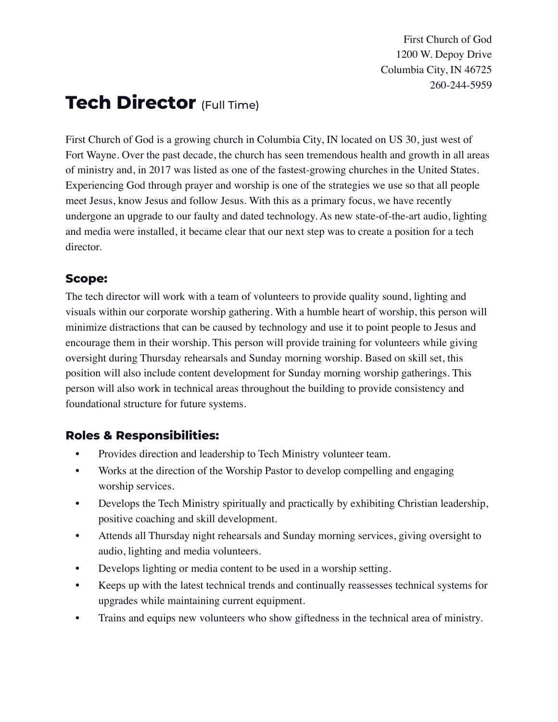First Church of God 1200 W. Depoy Drive Columbia City, IN 46725 260-244-5959

# **Tech Director** (Full Time)

First Church of God is a growing church in Columbia City, IN located on US 30, just west of Fort Wayne. Over the past decade, the church has seen tremendous health and growth in all areas of ministry and, in 2017 was listed as one of the fastest-growing churches in the United States. Experiencing God through prayer and worship is one of the strategies we use so that all people meet Jesus, know Jesus and follow Jesus. With this as a primary focus, we have recently undergone an upgrade to our faulty and dated technology. As new state-of-the-art audio, lighting and media were installed, it became clear that our next step was to create a position for a tech director.

#### **Scope:**

The tech director will work with a team of volunteers to provide quality sound, lighting and visuals within our corporate worship gathering. With a humble heart of worship, this person will minimize distractions that can be caused by technology and use it to point people to Jesus and encourage them in their worship. This person will provide training for volunteers while giving oversight during Thursday rehearsals and Sunday morning worship. Based on skill set, this position will also include content development for Sunday morning worship gatherings. This person will also work in technical areas throughout the building to provide consistency and foundational structure for future systems.

## **Roles & Responsibilities:**

- Provides direction and leadership to Tech Ministry volunteer team.
- Works at the direction of the Worship Pastor to develop compelling and engaging worship services.
- Develops the Tech Ministry spiritually and practically by exhibiting Christian leadership, positive coaching and skill development.
- Attends all Thursday night rehearsals and Sunday morning services, giving oversight to audio, lighting and media volunteers.
- Develops lighting or media content to be used in a worship setting.
- Keeps up with the latest technical trends and continually reassesses technical systems for upgrades while maintaining current equipment.
- Trains and equips new volunteers who show giftedness in the technical area of ministry.